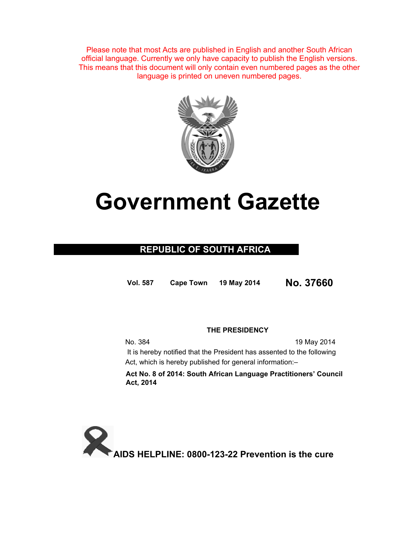Please note that most Acts are published in English and another South African official language. Currently we only have capacity to publish the English versions. This means that this document will only contain even numbered pages as the other language is printed on uneven numbered pages.



# **Government Gazette**

## **REPUBLIC OF SOUTH AFRICA**

**Vol. 587 Cape Town 19 May 2014 No. 37660**

### **THE PRESIDENCY**

No. 384 19 May 2014 It is hereby notified that the President has assented to the following Act, which is hereby published for general information:–

**Act No. 8 of 2014: South African Language Practitioners' Council Act, 2014** 

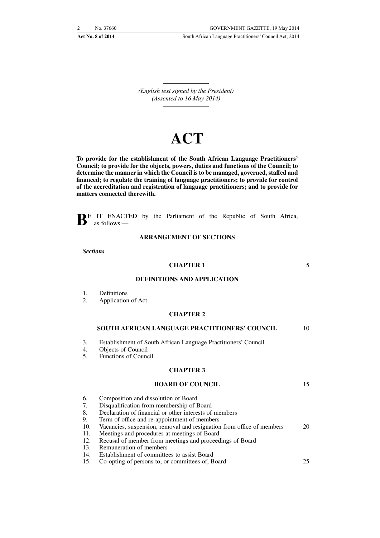*(English text signed by the President) (Assented to 16 May 2014)*

## **ACT**

**To provide for the establishment of the South African Language Practitioners' Council; to provide for the objects, powers, duties and functions of the Council; to determine the manner in which the Council is to be managed, governed, staffed and financed; to regulate the training of language practitioners; to provide for control of the accreditation and registration of language practitioners; and to provide for matters connected therewith.**



#### **ARRANGEMENT OF SECTIONS**

*Sections*

#### **CHAPTER 1**

5

#### **DEFINITIONS AND APPLICATION**

- 1. Definitions<br>2 Application
- Application of Act

#### **CHAPTER 2**

#### **SOUTH AFRICAN LANGUAGE PRACTITIONERS' COUNCIL** 10

- 3. Establishment of South African Language Practitioners' Council
- 4. Objects of Council
- 5. Functions of Council

#### **CHAPTER 3**

#### **BOARD OF COUNCIL**

- 6. Composition and dissolution of Board
- 7. Disqualification from membership of Board
- 8. Declaration of financial or other interests of members
- 9. Term of office and re-appointment of members
- 10. Vacancies, suspension, removal and resignation from office of members 20
- 11. Meetings and procedures at meetings of Board
- 12. Recusal of member from meetings and proceedings of Board
- 13. Remuneration of members
- 14. Establishment of committees to assist Board
- 15. Co-opting of persons to, or committees of, Board 25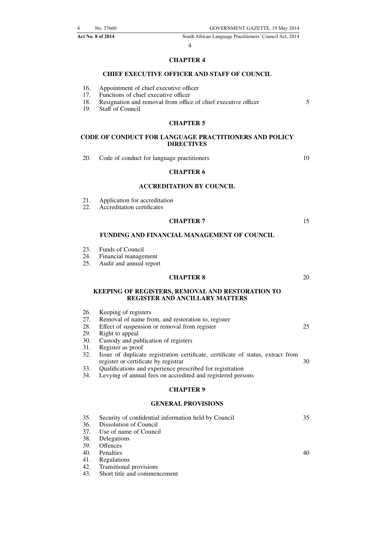#### 4

#### **CHAPTER 4**

#### **CHIEF EXECUTIVE OFFICER AND STAFF OF COUNCIL**

- 16. Appointment of chief executive officer<br>17. Functions of chief executive officer
- Functions of chief executive officer

18. Resignation and removal from office of chief executive officer 19. Staff of Council

**Staff of Council** 

#### **CHAPTER 5**

#### **CODE OF CONDUCT FOR LANGUAGE PRACTITIONERS AND POLICY DIRECTIVES**

20. Code of conduct for language practitioners

10

5

#### **CHAPTER 6**

#### **ACCREDITATION BY COUNCIL**

- 21. Application for accreditation<br>22. Accreditation certificates
- Accreditation certificates

#### **CHAPTER 7**

#### **FUNDING AND FINANCIAL MANAGEMENT OF COUNCIL**

- 23. Funds of Council
- 24. Financial management
- 25. Audit and annual report

#### **CHAPTER 8**

20

15

#### **KEEPING OF REGISTERS, REMOVAL AND RESTORATION TO REGISTER AND ANCILLARY MATTERS**

- 26. Keeping of registers<br>27. Removal of name free 27. Removal of name from, and restoration to, register 28. Effect of suspension or removal from register Effect of suspension or removal from register 29. Right to appeal 25
- 30. Custody and publication of registers
- 31. Register as proof
- 32. Issue of duplicate registration certificate, certificate of status, extract from register or certificate by registrar 30
- 33. Qualifications and experience prescribed for registration<br>34. Levying of annual fees on accredited and registered pers
- Levying of annual fees on accredited and registered persons

#### **CHAPTER 9**

#### **GENERAL PROVISIONS**

| 35. | Security of confidential information held by Council | 35 |
|-----|------------------------------------------------------|----|
|     | 36. Dissolution of Council                           |    |
|     | 37. Use of name of Council                           |    |
|     | 38. Delegations                                      |    |
|     | 39. Offences                                         |    |
|     | 40. Penalties                                        | 40 |
|     | 41. Regulations                                      |    |
|     | 42. Transitional provisions                          |    |
|     | 43. Short title and commencement                     |    |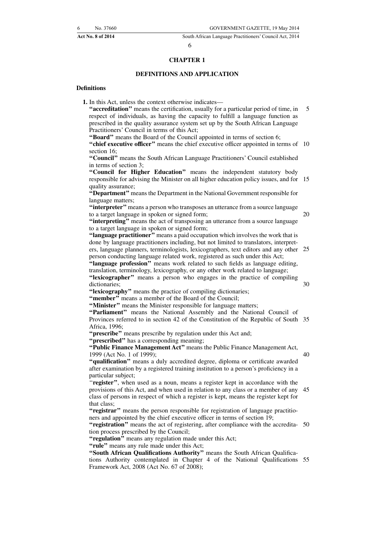#### **CHAPTER 1**

#### **DEFINITIONS AND APPLICATION**

#### **Definitions**

**1.** In this Act, unless the context otherwise indicates—

**''accreditation''** means the certification, usually for a particular period of time, in respect of individuals, as having the capacity to fulfill a language function as prescribed in the quality assurance system set up by the South African Language Practitioners' Council in terms of this Act; 5

**''Board''** means the Board of the Council appointed in terms of section 6;

**"chief executive officer"** means the chief executive officer appointed in terms of 10 section 16;

**''Council''** means the South African Language Practitioners' Council established in terms of section 3;

**''Council for Higher Education''** means the independent statutory body responsible for advising the Minister on all higher education policy issues, and for 15 quality assurance;

**''Department''** means the Department in the National Government responsible for language matters;

"interpreter" means a person who transposes an utterance from a source language to a target language in spoken or signed form;

"interpreting" means the act of transposing an utterance from a source language to a target language in spoken or signed form;

**''language practitioner''** means a paid occupation which involves the work that is done by language practitioners including, but not limited to translators, interpreters, language planners, terminologists, lexicographers, text editors and any other 25 person conducting language related work, registered as such under this Act;

**''language profession''** means work related to such fields as language editing, translation, terminology, lexicography, or any other work related to language; **''lexicographer''** means a person who engages in the practice of compiling dictionaries;

**''lexicography''** means the practice of compiling dictionaries;

"member"<sup></sup> means a member of the Board of the Council;

**''Minister''** means the Minister responsible for language matters;

"Parliament" means the National Assembly and the National Council of Provinces referred to in section 42 of the Constitution of the Republic of South 35 Africa, 1996;

**''prescribe''** means prescribe by regulation under this Act and;

**''prescribed''** has a corresponding meaning;

**''Public Finance Management Act''** means the Public Finance Management Act, 1999 (Act No. 1 of 1999);

40

20

30

**''qualification''** means a duly accredited degree, diploma or certificate awarded after examination by a registered training institution to a person's proficiency in a particular subject;

''**register''**, when used as a noun, means a register kept in accordance with the provisions of this Act, and when used in relation to any class or a member of any 45 class of persons in respect of which a register is kept, means the register kept for that class;

**''registrar''** means the person responsible for registration of language practitioners and appointed by the chief executive officer in terms of section 19;

"registration" means the act of registering, after compliance with the accredita- 50 tion process prescribed by the Council;

**''regulation''** means any regulation made under this Act;

**''rule''** means any rule made under this Act;

**''South African Qualifications Authority''** means the South African Qualifications Authority contemplated in Chapter 4 of the National Qualifications 55Framework Act, 2008 (Act No. 67 of 2008);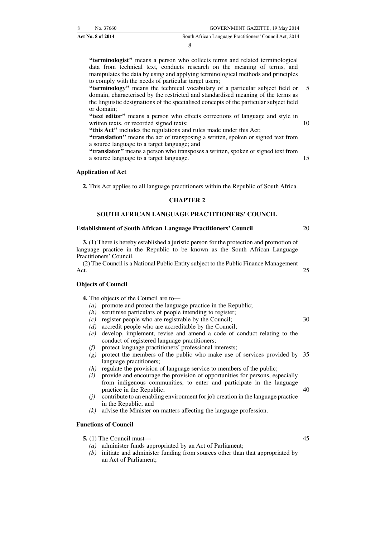8

**''terminologist''** means a person who collects terms and related terminological data from technical text, conducts research on the meaning of terms, and manipulates the data by using and applying terminological methods and principles to comply with the needs of particular target users;

**''terminology''** means the technical vocabulary of a particular subject field or domain, characterised by the restricted and standardised meaning of the terms as the linguistic designations of the specialised concepts of the particular subject field or domain; 5

**''text editor''** means a person who effects corrections of language and style in written texts, or recorded signed texts;

**''this Act''** includes the regulations and rules made under this Act;

**''translation''** means the act of transposing a written, spoken or signed text from a source language to a target language; and

**''translator''** means a person who transposes a written, spoken or signed text from a source language to a target language.

#### **Application of Act**

**2.** This Act applies to all language practitioners within the Republic of South Africa.

#### **CHAPTER 2**

#### **SOUTH AFRICAN LANGUAGE PRACTITIONERS' COUNCIL**

#### **Establishment of South African Language Practitioners' Council**

**3.** (1) There is hereby established a juristic person for the protection and promotion of language practice in the Republic to be known as the South African Language Practitioners' Council.

(2) The Council is a National Public Entity subject to the Public Finance Management Act. 25

#### **Objects of Council**

**4.** The objects of the Council are to—

- *(a)* promote and protect the language practice in the Republic;
- *(b)* scrutinise particulars of people intending to register;
- *(c)* register people who are registrable by the Council;
- *(d)* accredit people who are accreditable by the Council;
- *(e)* develop, implement, revise and amend a code of conduct relating to the conduct of registered language practitioners;
- *(f)* protect language practitioners' professional interests;
- *(g)* protect the members of the public who make use of services provided by 35 language practitioners;
- *(h)* regulate the provision of language service to members of the public;
- *(i)* provide and encourage the provision of opportunities for persons, especially from indigenous communities, to enter and participate in the language practice in the Republic;
- *(j)* contribute to an enabling environment for job creation in the language practice in the Republic; and
- *(k)* advise the Minister on matters affecting the language profession.

#### **Functions of Council**

- **5.** (1) The Council must—
	- *(a)* administer funds appropriated by an Act of Parliament;
	- *(b)* initiate and administer funding from sources other than that appropriated by an Act of Parliament;

45

40

10

15

20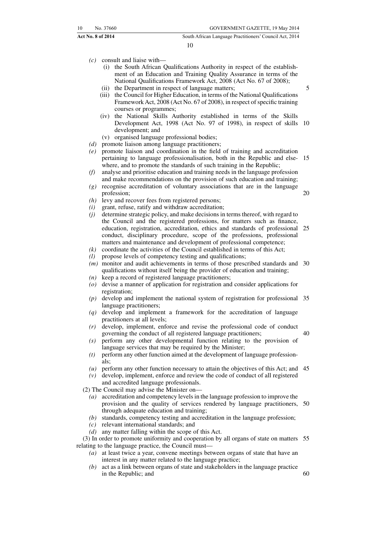- *(c)* consult and liaise with—
	- (i) the South African Qualifications Authority in respect of the establishment of an Education and Training Quality Assurance in terms of the National Qualifications Framework Act, 2008 (Act No. 67 of 2008);
	- (ii) the Department in respect of language matters;
	- (iii) the Council for Higher Education, in terms of the National Qualifications Framework Act, 2008 (Act No. 67 of 2008), in respect of specific training courses or programmes;
	- (iv) the National Skills Authority established in terms of the Skills Development Act, 1998 (Act No. 97 of 1998), in respect of skills 10 development; and
	- (v) organised language professional bodies;
- *(d)* promote liaison among language practitioners;
- *(e)* promote liaison and coordination in the field of training and accreditation pertaining to language professionalisation, both in the Republic and else-15 where, and to promote the standards of such training in the Republic;
- *(f)* analyse and prioritise education and training needs in the language profession and make recommendations on the provision of such education and training;
- *(g)* recognise accreditation of voluntary associations that are in the language profession;
- *(h)* levy and recover fees from registered persons;
- *(i)* grant, refuse, ratify and withdraw accreditation;
- *(j)* determine strategic policy, and make decisions in terms thereof, with regard to the Council and the registered professions, for matters such as finance, education, registration, accreditation, ethics and standards of professional 25 conduct, disciplinary procedure, scope of the professions, professional matters and maintenance and development of professional competence;
- *(k)* coordinate the activities of the Council established in terms of this Act;
- *(l)* propose levels of competency testing and qualifications;
- (*m*) monitor and audit achievements in terms of those prescribed standards and 30 qualifications without itself being the provider of education and training;
- *(n)* keep a record of registered language practitioners;
- *(o)* devise a manner of application for registration and consider applications for registration;
- *(p)* develop and implement the national system of registration for professional 35 language practitioners;
- *(q)* develop and implement a framework for the accreditation of language practitioners at all levels;
- *(r)* develop, implement, enforce and revise the professional code of conduct governing the conduct of all registered language practitioners; 40
- *(s)* perform any other developmental function relating to the provision of language services that may be required by the Minister;
- *(t)* perform any other function aimed at the development of language professionals;
- *(u)* perform any other function necessary to attain the objectives of this Act; and 45 *(v)* develop, implement, enforce and review the code of conduct of all registered
- and accredited language professionals.

(2) The Council may advise the Minister on—

- *(a)* accreditation and competency levels in the language profession to improve the provision and the quality of services rendered by language practitioners, 50 through adequate education and training;
- *(b)* standards, competency testing and accreditation in the language profession;
- *(c)* relevant international standards; and
- *(d)* any matter falling within the scope of this Act.

(3) In order to promote uniformity and cooperation by all organs of state on matters 55 relating to the language practice, the Council must—

- *(a)* at least twice a year, convene meetings between organs of state that have an interest in any matter related to the language practice;
- *(b)* act as a link between organs of state and stakeholders in the language practice in the Republic; and 60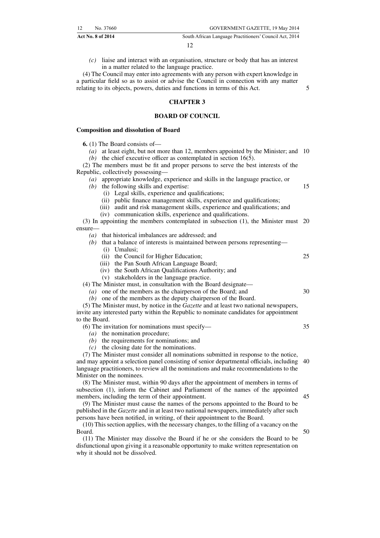*(c)* liaise and interact with an organisation, structure or body that has an interest in a matter related to the language practice.

(4) The Council may enter into agreements with any person with expert knowledge in a particular field so as to assist or advise the Council in connection with any matter relating to its objects, powers, duties and functions in terms of this Act.

#### **CHAPTER 3**

#### **BOARD OF COUNCIL**

#### **Composition and dissolution of Board**

**6.** (1) The Board consists of—

*(a)* at least eight, but not more than 12, members appointed by the Minister; and 10 *(b)* the chief executive officer as contemplated in section 16(5).

(2) The members must be fit and proper persons to serve the best interests of the Republic, collectively possessing—

*(a)* appropriate knowledge, experience and skills in the language practice, or

- *(b)* the following skills and expertise:
	- (i) Legal skills, experience and qualifications;
	- (ii) public finance management skills, experience and qualifications;
	- (iii) audit and risk management skills, experience and qualifications; and
	- (iv) communication skills, experience and qualifications.

(3) In appointing the members contemplated in subsection (1), the Minister must 20 ensure—

- *(a)* that historical imbalances are addressed; and
- *(b)* that a balance of interests is maintained between persons representing—
	- (i) Umalusi;
	- (ii) the Council for Higher Education;
	- (iii) the Pan South African Language Board;
	- (iv) the South African Qualifications Authority; and
	- (v) stakeholders in the language practice.

(4) The Minister must, in consultation with the Board designate—

- *(a)* one of the members as the chairperson of the Board; and
- *(b)* one of the members as the deputy chairperson of the Board.
- (5) The Minister must, by notice in the *Gazette* and at least two national newspapers, invite any interested party within the Republic to nominate candidates for appointment to the Board.
	- (6) The invitation for nominations must specify—
		- *(a)* the nomination procedure;
		- *(b)* the requirements for nominations; and
		- *(c)* the closing date for the nominations.

(7) The Minister must consider all nominations submitted in response to the notice, and may appoint a selection panel consisting of senior departmental officials, including 40 language practitioners, to review all the nominations and make recommendations to the Minister on the nominees.

(8) The Minister must, within 90 days after the appointment of members in terms of subsection (1), inform the Cabinet and Parliament of the names of the appointed members, including the term of their appointment.

(9) The Minister must cause the names of the persons appointed to the Board to be published in the *Gazette* and in at least two national newspapers, immediately after such persons have been notified, in writing, of their appointment to the Board.

(10) This section applies, with the necessary changes, to the filling of a vacancy on the Board.

(11) The Minister may dissolve the Board if he or she considers the Board to be disfunctional upon giving it a reasonable opportunity to make written representation on why it should not be dissolved.

45

50

5

15

25

30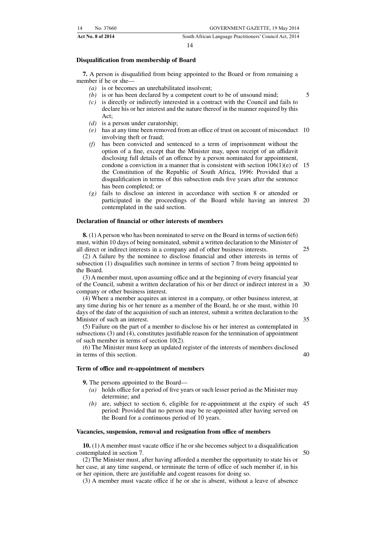|    | <b>Act No. 8 of 2014</b> | South African Language Practitioners' Council Act, 2014 |
|----|--------------------------|---------------------------------------------------------|
| 14 | No. 37660                | GOVERNMENT GAZETTE, 19 May 2014                         |

#### **Disqualification from membership of Board**

**7.** A person is disqualified from being appointed to the Board or from remaining a member if he or she—

- *(a)* is or becomes an unrehabilitated insolvent;
- *(b)* is or has been declared by a competent court to be of unsound mind;
- *(c)* is directly or indirectly interested in a contract with the Council and fails to declare his or her interest and the nature thereof in the manner required by this Act;
- *(d)* is a person under curatorship;
- *(e)* has at any time been removed from an office of trust on account of misconduct 10 involving theft or fraud;
- *(f)* has been convicted and sentenced to a term of imprisonment without the option of a fine, except that the Minister may, upon receipt of an affidavit disclosing full details of an offence by a person nominated for appointment, condone a conviction in a manner that is consistent with section  $106(1)(e)$  of 15 the Constitution of the Republic of South Africa, 1996: Provided that a disqualification in terms of this subsection ends five years after the sentence has been completed; or
- *(g)* fails to disclose an interest in accordance with section 8 or attended or participated in the proceedings of the Board while having an interest 20 contemplated in the said section.

#### **Declaration of financial or other interests of members**

**8.** (1) A person who has been nominated to serve on the Board in terms of section 6(6) must, within 10 days of being nominated, submit a written declaration to the Minister of all direct or indirect interests in a company and of other business interests.

25

35

40

5

(2) A failure by the nominee to disclose financial and other interests in terms of subsection (1) disqualifies such nominee in terms of section 7 from being appointed to the Board.

(3) A member must, upon assuming office and at the beginning of every financial year of the Council, submit a written declaration of his or her direct or indirect interest in a 30 company or other business interest.

(4) Where a member acquires an interest in a company, or other business interest, at any time during his or her tenure as a member of the Board, he or she must, within 10 days of the date of the acquisition of such an interest, submit a written declaration to the Minister of such an interest.

(5) Failure on the part of a member to disclose his or her interest as contemplated in subsections (3) and (4), constitutes justifiable reason for the termination of appointment of such member in terms of section 10(2).

(6) The Minister must keep an updated register of the interests of members disclosed in terms of this section.

#### **Term of office and re-appointment of members**

**9.** The persons appointed to the Board—

- *(a)* holds office for a period of five years or such lesser period as the Minister may determine; and
- *(b)* are, subject to section 6, eligible for re-appointment at the expiry of such 45 period: Provided that no person may be re-appointed after having served on the Board for a continuous period of 10 years.

#### **Vacancies, suspension, removal and resignation from office of members**

**10.** (1) A member must vacate office if he or she becomes subject to a disqualification contemplated in section 7. 50

(2) The Minister must, after having afforded a member the opportunity to state his or her case, at any time suspend, or terminate the term of office of such member if, in his or her opinion, there are justifiable and cogent reasons for doing so.

(3) A member must vacate office if he or she is absent, without a leave of absence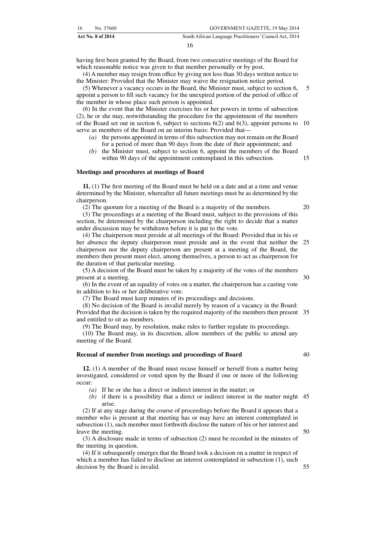having first been granted by the Board, from two consecutive meetings of the Board for which reasonable notice was given to that member personally or by post.

(4) A member may resign from office by giving not less than 30 days written notice to the Minister: Provided that the Minister may waive the resignation notice period.

(5) Whenever a vacancy occurs in the Board, the Minister must, subject to section 6, appoint a person to fill such vacancy for the unexpired portion of the period of office of the member in whose place such person is appointed. 5

(6) In the event that the Minister exercises his or her powers in terms of subsection (2), he or she may, notwithstanding the procedure for the appointment of the members of the Board set out in section 6, subject to sections  $6(2)$  and  $6(3)$ , appoint persons to 10 serve as members of the Board on an interim basis: Provided that—

- *(a)* the persons appointed in terms of this subsection may not remain on the Board for a period of more than 90 days from the date of their appointment; and
- *(b)* the Minister must, subject to section 6, appoint the members of the Board within 90 days of the appointment contemplated in this subsection.

#### **Meetings and procedures at meetings of Board**

**11.** (1) The first meeting of the Board must be held on a date and at a time and venue determined by the Minister, whereafter all future meetings must be as determined by the chairperson.

(2) The quorum for a meeting of the Board is a majority of the members.

(3) The proceedings at a meeting of the Board must, subject to the provisions of this section, be determined by the chairperson including the right to decide that a matter under discussion may be withdrawn before it is put to the vote.

(4) The chairperson must preside at all meetings of the Board: Provided that in his or her absence the deputy chairperson must preside and in the event that neither the 25 chairperson nor the deputy chairperson are present at a meeting of the Board, the members then present must elect, among themselves, a person to act as chairperson for the duration of that particular meeting.

(5) A decision of the Board must be taken by a majority of the votes of the members present at a meeting. 30

(6) In the event of an equality of votes on a matter, the chairperson has a casting vote in addition to his or her deliberative vote.

(7) The Board must keep minutes of its proceedings and decisions.

(8) No decision of the Board is invalid merely by reason of a vacancy in the Board: Provided that the decision is taken by the required majority of the members then present 35 and entitled to sit as members.

(9) The Board may, by resolution, make rules to further regulate its proceedings.

(10) The Board may, in its discretion, allow members of the public to attend any meeting of the Board.

#### **Recusal of member from meetings and proceedings of Board**

**12.** (1) A member of the Board must recuse himself or herself from a matter being investigated, considered or voted upon by the Board if one or more of the following occur:

*(a)* If he or she has a direct or indirect interest in the matter; or

*(b)* if there is a possibility that a direct or indirect interest in the matter might 45 arise.

(2) If at any stage during the course of proceedings before the Board it appears that a member who is present at that meeting has or may have an interest contemplated in subsection (1), such member must forthwith disclose the nature of his or her interest and leave the meeting.

(3) A disclosure made in terms of subsection (2) must be recorded in the minutes of the meeting in question.

(4) If it subsequently emerges that the Board took a decision on a matter in respect of which a member has failed to disclose an interest contemplated in subsection (1), such decision by the Board is invalid.

20

15

50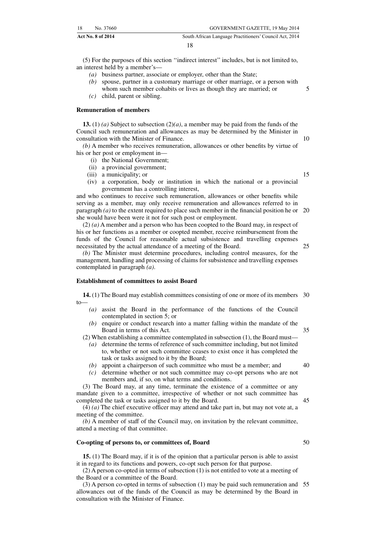(5) For the purposes of this section ''indirect interest'' includes, but is not limited to, an interest held by a member's—

- *(a)* business partner, associate or employer, other than the State;
- *(b)* spouse, partner in a customary marriage or other marriage, or a person with
- whom such member cohabits or lives as though they are married; or *(c)* child, parent or sibling.

#### **Remuneration of members**

**13.** (1) *(a)* Subject to subsection (2)*(a)*, a member may be paid from the funds of the Council such remuneration and allowances as may be determined by the Minister in consultation with the Minister of Finance.

*(b)* A member who receives remuneration, allowances or other benefits by virtue of his or her post or employment in—

- (i) the National Government;
- (ii) a provincial government;
- (iii) a municipality; or
- (iv) a corporation, body or institution in which the national or a provincial government has a controlling interest,

and who continues to receive such remuneration, allowances or other benefits while serving as a member, may only receive remuneration and allowances referred to in paragraph *(a)* to the extent required to place such member in the financial position he or 20 she would have been were it not for such post or employment.

(2) *(a)* A member and a person who has been coopted to the Board may, in respect of his or her functions as a member or coopted member, receive reimbursement from the funds of the Council for reasonable actual subsistence and travelling expenses necessitated by the actual attendance of a meeting of the Board. 25

*(b)* The Minister must determine procedures, including control measures, for the management, handling and processing of claims for subsistence and travelling expenses contemplated in paragraph *(a)*.

#### **Establishment of committees to assist Board**

**14.** (1) The Board may establish committees consisting of one or more of its members 30 to—

- *(a)* assist the Board in the performance of the functions of the Council contemplated in section 5; or
- *(b)* enquire or conduct research into a matter falling within the mandate of the Board in terms of this Act.

(2) When establishing a committee contemplated in subsection (1), the Board must—

- *(a)* determine the terms of reference of such committee including, but not limited to, whether or not such committee ceases to exist once it has completed the task or tasks assigned to it by the Board;
- *(b)* appoint a chairperson of such committee who must be a member; and
- *(c)* determine whether or not such committee may co-opt persons who are not members and, if so, on what terms and conditions.

(3) The Board may, at any time, terminate the existence of a committee or any mandate given to a committee, irrespective of whether or not such committee has completed the task or tasks assigned to it by the Board.

(4) *(a)* The chief executive officer may attend and take part in, but may not vote at, a meeting of the committee.

*(b)* A member of staff of the Council may, on invitation by the relevant committee, attend a meeting of that committee.

#### **Co-opting of persons to, or committees of, Board**

**15.** (1) The Board may, if it is of the opinion that a particular person is able to assist it in regard to its functions and powers, co-opt such person for that purpose.

(2) A person co-opted in terms of subsection (1) is not entitled to vote at a meeting of the Board or a committee of the Board.

(3) A person co-opted in terms of subsection (1) may be paid such remuneration and 55allowances out of the funds of the Council as may be determined by the Board in consultation with the Minister of Finance.

40

35

5

10

15

- 
- 45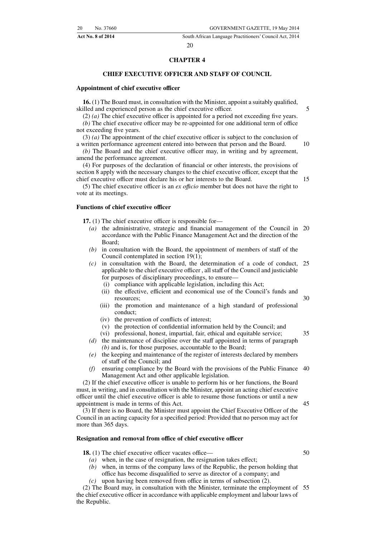#### **CHAPTER 4**

#### **CHIEF EXECUTIVE OFFICER AND STAFF OF COUNCIL**

#### **Appointment of chief executive officer**

**16.** (1) The Board must, in consultation with the Minister, appoint a suitably qualified, skilled and experienced person as the chief executive officer.

(2) *(a)* The chief executive officer is appointed for a period not exceeding five years. *(b)* The chief executive officer may be re-appointed for one additional term of office not exceeding five years.

(3) *(a)* The appointment of the chief executive officer is subject to the conclusion of a written performance agreement entered into between that person and the Board. 10

*(b)* The Board and the chief executive officer may, in writing and by agreement, amend the performance agreement.

(4) For purposes of the declaration of financial or other interests, the provisions of section 8 apply with the necessary changes to the chief executive officer, except that the chief executive officer must declare his or her interests to the Board.

15

5

(5) The chief executive officer is an *ex offıcio* member but does not have the right to vote at its meetings.

#### **Functions of chief executive officer**

**17.** (1) The chief executive officer is responsible for—

- *(a)* the administrative, strategic and financial management of the Council in 20 accordance with the Public Finance Management Act and the direction of the Board;
- *(b)* in consultation with the Board, the appointment of members of staff of the Council contemplated in section 19(1);
- *(c)* in consultation with the Board, the determination of a code of conduct, 25 applicable to the chief executive officer , all staff of the Council and justiciable for purposes of disciplinary proceedings, to ensure—
	- (i) compliance with applicable legislation, including this Act;
	- (ii) the effective, efficient and economical use of the Council's funds and resources; 30
	- (iii) the promotion and maintenance of a high standard of professional conduct;
	- (iv) the prevention of conflicts of interest;
	- (v) the protection of confidential information held by the Council; and
	- (vi) professional, honest, impartial, fair, ethical and equitable service;

- *(e)* the keeping and maintenance of the register of interests declared by members of staff of the Council; and
- *(f)* ensuring compliance by the Board with the provisions of the Public Finance 40 Management Act and other applicable legislation.

(2) If the chief executive officer is unable to perform his or her functions, the Board must, in writing, and in consultation with the Minister, appoint an acting chief executive officer until the chief executive officer is able to resume those functions or until a new appointment is made in terms of this Act. 45

(3) If there is no Board, the Minister must appoint the Chief Executive Officer of the Council in an acting capacity for a specified period: Provided that no person may act for more than 365 days.

#### **Resignation and removal from office of chief executive officer**

**18.** (1) The chief executive officer vacates office—

- *(a)* when, in the case of resignation, the resignation takes effect;
- *(b)* when, in terms of the company laws of the Republic, the person holding that office has become disqualified to serve as director of a company; and
- *(c)* upon having been removed from office in terms of subsection (2).

(2) The Board may, in consultation with the Minister, terminate the employment of 55the chief executive officer in accordance with applicable employment and labour laws of the Republic.

50

*<sup>(</sup>d)* the maintenance of discipline over the staff appointed in terms of paragraph *(b)* and is, for those purposes, accountable to the Board;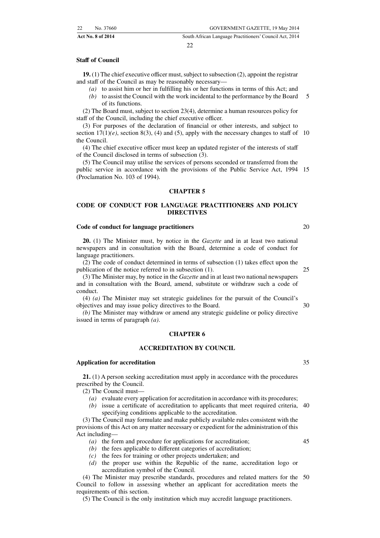#### **Staff of Council**

**19.** (1) The chief executive officer must, subject to subsection (2), appoint the registrar and staff of the Council as may be reasonably necessary—

- *(a)* to assist him or her in fulfilling his or her functions in terms of this Act; and
- *(b)* to assist the Council with the work incidental to the performance by the Board of its functions. 5

(2) The Board must, subject to section 23(4), determine a human resources policy for staff of the Council, including the chief executive officer.

(3) For purposes of the declaration of financial or other interests, and subject to section  $17(1)(e)$ , section 8(3), (4) and (5), apply with the necessary changes to staff of 10 the Council.

(4) The chief executive officer must keep an updated register of the interests of staff of the Council disclosed in terms of subsection (3).

(5) The Council may utilise the services of persons seconded or transferred from the public service in accordance with the provisions of the Public Service Act, 1994 15 (Proclamation No. 103 of 1994).

#### **CHAPTER 5**

#### **CODE OF CONDUCT FOR LANGUAGE PRACTITIONERS AND POLICY DIRECTIVES**

#### **Code of conduct for language practitioners**

**20.** (1) The Minister must, by notice in the *Gazette* and in at least two national newspapers and in consultation with the Board, determine a code of conduct for language practitioners.

(2) The code of conduct determined in terms of subsection (1) takes effect upon the publication of the notice referred to in subsection (1).  $25$ 

(3) The Minister may, by notice in the *Gazette* and in at least two national newspapers and in consultation with the Board, amend, substitute or withdraw such a code of conduct.

(4) *(a)* The Minister may set strategic guidelines for the pursuit of the Council's objectives and may issue policy directives to the Board.

*(b)* The Minister may withdraw or amend any strategic guideline or policy directive issued in terms of paragraph *(a)*.

#### **CHAPTER 6**

#### **ACCREDITATION BY COUNCIL**

#### **Application for accreditation**

**21.** (1) A person seeking accreditation must apply in accordance with the procedures prescribed by the Council.

(2) The Council must—

- *(a)* evaluate every application for accreditation in accordance with its procedures;
- *(b)* issue a certificate of accreditation to applicants that meet required criteria, 40 specifying conditions applicable to the accreditation.

(3) The Council may formulate and make publicly available rules consistent with the provisions of this Act on any matter necessary or expedient for the administration of this Act including—

- *(a)* the form and procedure for applications for accreditation;
- *(b)* the fees applicable to different categories of accreditation;
- *(c)* the fees for training or other projects undertaken; and
- *(d)* the proper use within the Republic of the name, accreditation logo or accreditation symbol of the Council.

(4) The Minister may prescribe standards, procedures and related matters for the 50Council to follow in assessing whether an applicant for accreditation meets the requirements of this section.

(5) The Council is the only institution which may accredit language practitioners.

35

45

30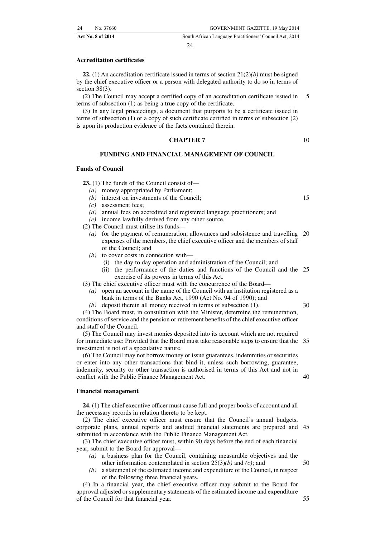#### **Accreditation certificates**

**22.** (1) An accreditation certificate issued in terms of section  $21(2)(b)$  must be signed by the chief executive officer or a person with delegated authority to do so in terms of section 38(3).

(2) The Council may accept a certified copy of an accreditation certificate issued in terms of subsection (1) as being a true copy of the certificate. 5

(3) In any legal proceedings, a document that purports to be a certificate issued in terms of subsection (1) or a copy of such certificate certified in terms of subsection (2) is upon its production evidence of the facts contained therein.

#### **CHAPTER 7**

#### **FUNDING AND FINANCIAL MANAGEMENT OF COUNCIL**

#### **Funds of Council**

**23.** (1) The funds of the Council consist of—

- *(a)* money appropriated by Parliament;
- *(b)* interest on investments of the Council;<br>*(c)* assessment fees:
- assessment fees:
- *(d)* annual fees on accredited and registered language practitioners; and
- *(e)* income lawfully derived from any other source.

(2) The Council must utilise its funds—

- *(a)* for the payment of remuneration, allowances and subsistence and travelling 20 expenses of the members, the chief executive officer and the members of staff of the Council; and
- *(b)* to cover costs in connection with—
	- (i) the day to day operation and administration of the Council; and
	- (ii) the performance of the duties and functions of the Council and the 25 exercise of its powers in terms of this Act.
- (3) The chief executive officer must with the concurrence of the Board—
	- *(a)* open an account in the name of the Council with an institution registered as a bank in terms of the Banks Act, 1990 (Act No. 94 of 1990); and
	- *(b)* deposit therein all money received in terms of subsection (1).

(4) The Board must, in consultation with the Minister, determine the remuneration, conditions of service and the pension or retirement benefits of the chief executive officer and staff of the Council.

(5) The Council may invest monies deposited into its account which are not required for immediate use: Provided that the Board must take reasonable steps to ensure that the 35 investment is not of a speculative nature.

(6) The Council may not borrow money or issue guarantees, indemnities or securities or enter into any other transactions that bind it, unless such borrowing, guarantee, indemnity, security or other transaction is authorised in terms of this Act and not in conflict with the Public Finance Management Act.

#### **Financial management**

**24.** (1) The chief executive officer must cause full and proper books of account and all the necessary records in relation thereto to be kept.

(2) The chief executive officer must ensure that the Council's annual budgets, corporate plans, annual reports and audited financial statements are prepared and 45 submitted in accordance with the Public Finance Management Act.

(3) The chief executive officer must, within 90 days before the end of each financial year, submit to the Board for approval—

- *(a)* a business plan for the Council, containing measurable objectives and the other information contemplated in section 25(3)*(b)* and *(c)*; and
- *(b)* a statement of the estimated income and expenditure of the Council, in respect of the following three financial years.

(4) In a financial year, the chief executive officer may submit to the Board for approval adjusted or supplementary statements of the estimated income and expenditure of the Council for that financial year.

50

15

30

40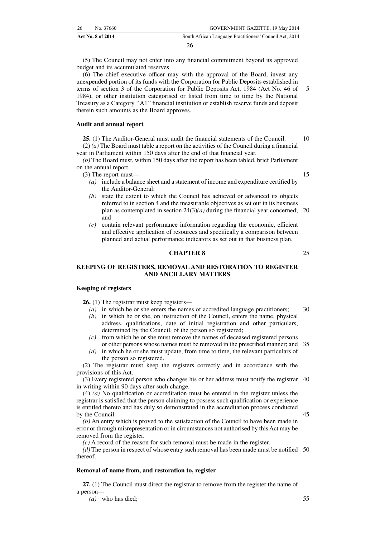(5) The Council may not enter into any financial commitment beyond its approved budget and its accumulated reserves.

(6) The chief executive officer may with the approval of the Board, invest any unexpended portion of its funds with the Corporation for Public Deposits established in terms of section 3 of the Corporation for Public Deposits Act, 1984 (Act No. 46 of 1984), or other institution categorised or listed from time to time by the National Treasury as a Category ''A1'' financial institution or establish reserve funds and deposit therein such amounts as the Board approves. 5

#### **Audit and annual report**

**25.** (1) The Auditor-General must audit the financial statements of the Council. (2) *(a)* The Board must table a report on the activities of the Council during a financial year in Parliament within 150 days after the end of that financial year. 10

*(b)* The Board must, within 150 days after the report has been tabled, brief Parliament on the annual report.

(3) The report must—

- *(a)* include a balance sheet and a statement of income and expenditure certified by the Auditor-General;
- *(b)* state the extent to which the Council has achieved or advanced its objects referred to in section 4 and the measurable objectives as set out in its business plan as contemplated in section  $24(3)(a)$  during the financial year concerned; 20 and
- *(c)* contain relevant performance information regarding the economic, efficient and effective application of resources and specifically a comparison between planned and actual performance indicators as set out in that business plan.

#### **CHAPTER 8**

**KEEPING OF REGISTERS, REMOVAL AND RESTORATION TO REGISTER AND ANCILLARY MATTERS**

#### **Keeping of registers**

**26.** (1) The registrar must keep registers—

- *(a)* in which he or she enters the names of accredited language practitioners; 30
- *(b)* in which he or she, on instruction of the Council, enters the name, physical address, qualifications, date of initial registration and other particulars, determined by the Council, of the person so registered;
- *(c)* from which he or she must remove the names of deceased registered persons or other persons whose names must be removed in the prescribed manner; and 35
- *(d)* in which he or she must update, from time to time, the relevant particulars of the person so registered.

(2) The registrar must keep the registers correctly and in accordance with the provisions of this Act.

(3) Every registered person who changes his or her address must notify the registrar 40 in writing within 90 days after such change.

(4) *(a)* No qualification or accreditation must be entered in the register unless the registrar is satisfied that the person claiming to possess such qualification or experience is entitled thereto and has duly so demonstrated in the accreditation process conducted by the Council. 45

*(b)* An entry which is proved to the satisfaction of the Council to have been made in error or through misrepresentation or in circumstances not authorised by this Act may be removed from the register.

*(c)* A record of the reason for such removal must be made in the register.

*(d)* The person in respect of whose entry such removal has been made must be notified 50 thereof.

#### **Removal of name from, and restoration to, register**

**27.** (1) The Council must direct the registrar to remove from the register the name of a person—

*(a)* who has died;

25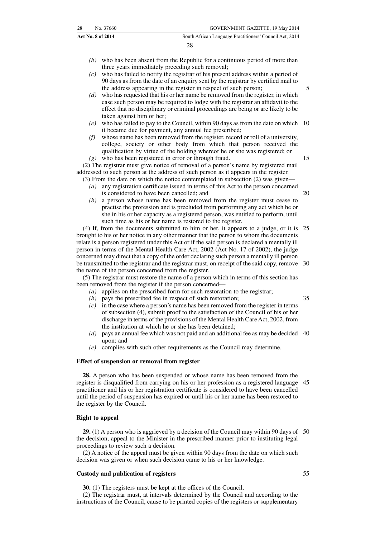- *(b)* who has been absent from the Republic for a continuous period of more than three years immediately preceding such removal;
- *(c)* who has failed to notify the registrar of his present address within a period of 90 days as from the date of an enquiry sent by the registrar by certified mail to the address appearing in the register in respect of such person;
- *(d)* who has requested that his or her name be removed from the register, in which case such person may be required to lodge with the registrar an affidavit to the effect that no disciplinary or criminal proceedings are being or are likely to be taken against him or her;
- *(e)* who has failed to pay to the Council, within 90 days as from the date on which 10 it became due for payment, any annual fee prescribed;
- *(f)* whose name has been removed from the register, record or roll of a university, college, society or other body from which that person received the qualification by virtue of the holding whereof he or she was registered; or *(g)* who has been registered in error or through fraud.

(2) The registrar must give notice of removal of a person's name by registered mail addressed to such person at the address of such person as it appears in the register.

(3) From the date on which the notice contemplated in subsection (2) was given—

- *(a)* any registration certificate issued in terms of this Act to the person concerned is considered to have been cancelled; and
- *(b)* a person whose name has been removed from the register must cease to practise the profession and is precluded from performing any act which he or she in his or her capacity as a registered person, was entitled to perform, until such time as his or her name is restored to the register.

(4) If, from the documents submitted to him or her, it appears to a judge, or it is 25 brought to his or her notice in any other manner that the person to whom the documents relate is a person registered under this Act or if the said person is declared a mentally ill person in terms of the Mental Health Care Act, 2002 (Act No. 17 of 2002), the judge concerned may direct that a copy of the order declaring such person a mentally ill person be transmitted to the registrar and the registrar must, on receipt of the said copy, remove 30 the name of the person concerned from the register.

(5) The registrar must restore the name of a person which in terms of this section has been removed from the register if the person concerned—

- *(a)* applies on the prescribed form for such restoration to the registrar;
- *(b)* pays the prescribed fee in respect of such restoration;
- *(c)* in the case where a person's name has been removed from the register in terms of subsection (4), submit proof to the satisfaction of the Council of his or her discharge in terms of the provisions of the Mental Health Care Act, 2002, from the institution at which he or she has been detained;
- *(d)* pays an annual fee which was not paid and an additional fee as may be decided 40 upon; and
- *(e)* complies with such other requirements as the Council may determine.

#### **Effect of suspension or removal from register**

**28.** A person who has been suspended or whose name has been removed from the register is disqualified from carrying on his or her profession as a registered language 45 practitioner and his or her registration certificate is considered to have been cancelled until the period of suspension has expired or until his or her name has been restored to the register by the Council.

#### **Right to appeal**

**29.** (1) A person who is aggrieved by a decision of the Council may within 90 days of 50 the decision, appeal to the Minister in the prescribed manner prior to instituting legal proceedings to review such a decision.

(2) A notice of the appeal must be given within 90 days from the date on which such decision was given or when such decision came to his or her knowledge.

#### **Custody and publication of registers**

**30.** (1) The registers must be kept at the offices of the Council.

(2) The registrar must, at intervals determined by the Council and according to the instructions of the Council, cause to be printed copies of the registers or supplementary 5

15

20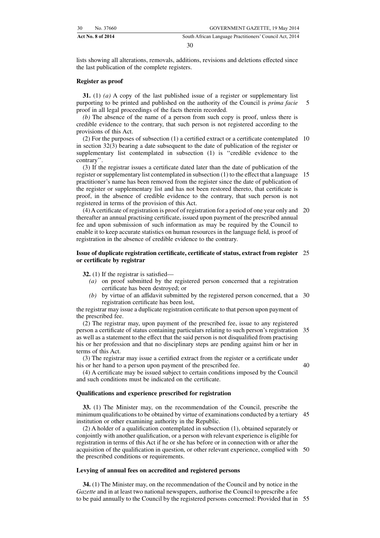lists showing all alterations, removals, additions, revisions and deletions effected since the last publication of the complete registers.

#### **Register as proof**

**31.** (1) *(a)* A copy of the last published issue of a register or supplementary list purporting to be printed and published on the authority of the Council is *prima facie* proof in all legal proceedings of the facts therein recorded. 5

*(b)* The absence of the name of a person from such copy is proof, unless there is credible evidence to the contrary, that such person is not registered according to the provisions of this Act.

(2) For the purposes of subsection (1) a certified extract or a certificate contemplated 10 in section 32(3) bearing a date subsequent to the date of publication of the register or supplementary list contemplated in subsection (1) is ''credible evidence to the contrary''.

(3) If the registrar issues a certificate dated later than the date of publication of the register or supplementary list contemplated in subsection (1) to the effect that a language 15 practitioner's name has been removed from the register since the date of publication of the register or supplementary list and has not been restored thereto, that certificate is proof, in the absence of credible evidence to the contrary, that such person is not registered in terms of the provision of this Act.

(4) A certificate of registration is proof of registration for a period of one year only and 20 thereafter an annual practising certificate, issued upon payment of the prescribed annual fee and upon submission of such information as may be required by the Council to enable it to keep accurate statistics on human resources in the language field, is proof of registration in the absence of credible evidence to the contrary.

#### **Issue of duplicate registration certificate, certificate of status, extract from register** 25 **or certificate by registrar**

**32.** (1) If the registrar is satisfied—

- *(a)* on proof submitted by the registered person concerned that a registration certificate has been destroyed; or
- *(b)* by virtue of an affidavit submitted by the registered person concerned, that a 30 registration certificate has been lost,

the registrar may issue a duplicate registration certificate to that person upon payment of the prescribed fee.

(2) The registrar may, upon payment of the prescribed fee, issue to any registered person a certificate of status containing particulars relating to such person's registration 35 as well as a statement to the effect that the said person is not disqualified from practising his or her profession and that no disciplinary steps are pending against him or her in terms of this Act.

(3) The registrar may issue a certified extract from the register or a certificate under his or her hand to a person upon payment of the prescribed fee.

40

(4) A certificate may be issued subject to certain conditions imposed by the Council and such conditions must be indicated on the certificate.

#### **Qualifications and experience prescribed for registration**

**33.** (1) The Minister may, on the recommendation of the Council, prescribe the minimum qualifications to be obtained by virtue of examinations conducted by a tertiary 45 institution or other examining authority in the Republic.

(2) A holder of a qualification contemplated in subsection (1), obtained separately or conjointly with another qualification, or a person with relevant experience is eligible for registration in terms of this Act if he or she has before or in connection with or after the acquisition of the qualification in question, or other relevant experience, complied with 50 the prescribed conditions or requirements.

#### **Levying of annual fees on accredited and registered persons**

**34.** (1) The Minister may, on the recommendation of the Council and by notice in the *Gazette* and in at least two national newspapers, authorise the Council to prescribe a fee to be paid annually to the Council by the registered persons concerned: Provided that in 55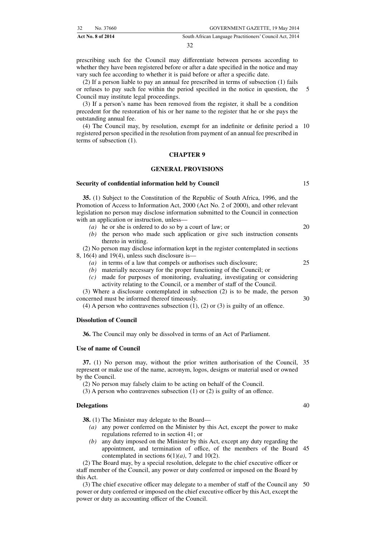prescribing such fee the Council may differentiate between persons according to whether they have been registered before or after a date specified in the notice and may vary such fee according to whether it is paid before or after a specific date.

(2) If a person liable to pay an annual fee prescribed in terms of subsection (1) fails or refuses to pay such fee within the period specified in the notice in question, the Council may institute legal proceedings. 5

(3) If a person's name has been removed from the register, it shall be a condition precedent for the restoration of his or her name to the register that he or she pays the outstanding annual fee.

(4) The Council may, by resolution, exempt for an indefinite or definite period a 10 registered person specified in the resolution from payment of an annual fee prescribed in terms of subsection (1).

#### **CHAPTER 9**

#### **GENERAL PROVISIONS**

#### **Security of confidential information held by Council**

**35.** (1) Subject to the Constitution of the Republic of South Africa, 1996, and the Promotion of Access to Information Act, 2000 (Act No. 2 of 2000), and other relevant legislation no person may disclose information submitted to the Council in connection with an application or instruction, unless—

- *(a)* he or she is ordered to do so by a court of law; or
- *(b)* the person who made such application or give such instruction consents thereto in writing.

(2) No person may disclose information kept in the register contemplated in sections 8,  $16(4)$  and  $19(4)$ , unless such disclosure is—

- *(a)* in terms of a law that compels or authorises such disclosure;
- *(b)* materially necessary for the proper functioning of the Council; or
- *(c)* made for purposes of monitoring, evaluating, investigating or considering activity relating to the Council, or a member of staff of the Council.

(3) Where a disclosure contemplated in subsection (2) is to be made, the person concerned must be informed thereof timeously. 30

(4) A person who contravenes subsection  $(1)$ ,  $(2)$  or  $(3)$  is guilty of an offence.

#### **Dissolution of Council**

**36.** The Council may only be dissolved in terms of an Act of Parliament.

#### **Use of name of Council**

**37.** (1) No person may, without the prior written authorisation of the Council, 35 represent or make use of the name, acronym, logos, designs or material used or owned by the Council.

(2) No person may falsely claim to be acting on behalf of the Council.

(3) A person who contravenes subsection (1) or (2) is guilty of an offence.

#### **Delegations**

**38.** (1) The Minister may delegate to the Board—

- *(a)* any power conferred on the Minister by this Act, except the power to make regulations referred to in section 41; or
- *(b)* any duty imposed on the Minister by this Act, except any duty regarding the appointment, and termination of office, of the members of the Board 45 contemplated in sections  $6(1)(a)$ , 7 and  $10(2)$ .

(2) The Board may, by a special resolution, delegate to the chief executive officer or staff member of the Council, any power or duty conferred or imposed on the Board by this Act.

(3) The chief executive officer may delegate to a member of staff of the Council any 50power or duty conferred or imposed on the chief executive officer by this Act, except the power or duty as accounting officer of the Council.

 $20$ 

15